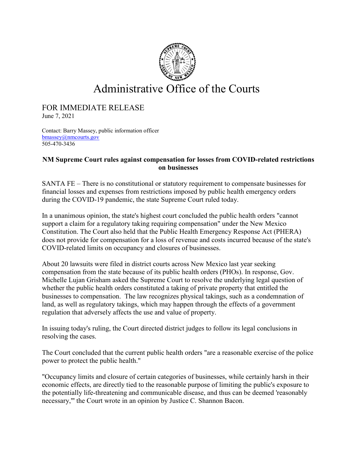

## Administrative Office of the Courts

## FOR IMMEDIATE RELEASE June 7, 2021

Contact: Barry Massey, public information officer [bmassey@nmcourts.gov](mailto:bmassey@nmcourts.gov) 505-470-3436

## **NM Supreme Court rules against compensation for losses from COVID-related restrictions on businesses**

SANTA FE – There is no constitutional or statutory requirement to compensate businesses for financial losses and expenses from restrictions imposed by public health emergency orders during the COVID-19 pandemic, the state Supreme Court ruled today.

In a unanimous opinion, the state's highest court concluded the public health orders "cannot support a claim for a regulatory taking requiring compensation" under the New Mexico Constitution. The Court also held that the Public Health Emergency Response Act (PHERA) does not provide for compensation for a loss of revenue and costs incurred because of the state's COVID-related limits on occupancy and closures of businesses.

About 20 lawsuits were filed in district courts across New Mexico last year seeking compensation from the state because of its public health orders (PHOs). In response, Gov. Michelle Lujan Grisham asked the Supreme Court to resolve the underlying legal question of whether the public health orders constituted a taking of private property that entitled the businesses to compensation. The law recognizes physical takings, such as a condemnation of land, as well as regulatory takings, which may happen through the effects of a government regulation that adversely affects the use and value of property.

In issuing today's ruling, the Court directed district judges to follow its legal conclusions in resolving the cases.

The Court concluded that the current public health orders "are a reasonable exercise of the police power to protect the public health."

"Occupancy limits and closure of certain categories of businesses, while certainly harsh in their economic effects, are directly tied to the reasonable purpose of limiting the public's exposure to the potentially life-threatening and communicable disease, and thus can be deemed 'reasonably necessary,''' the Court wrote in an opinion by Justice C. Shannon Bacon.